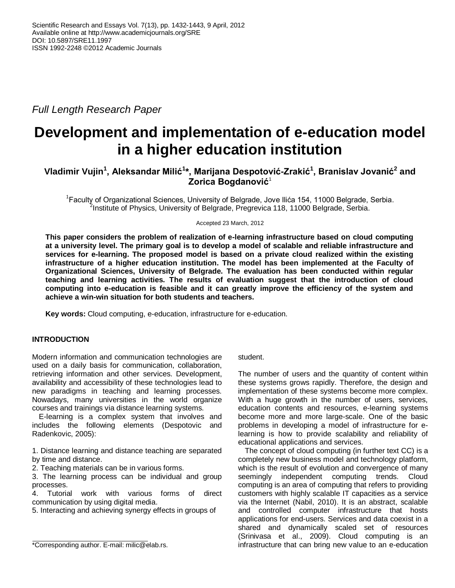*Full Length Research Paper*

# **Development and implementation of e-education model in a higher education institution**

# **Vladimir Vujin<sup>1</sup> , Aleksandar Milić<sup>1</sup> \*, Marijana Despotović-Zrakić<sup>1</sup> , Branislav Jovanić<sup>2</sup> and Zorica Bogdanović**<sup>1</sup>

<sup>1</sup> Faculty of Organizational Sciences, University of Belgrade, Jove Ilića 154, 11000 Belgrade, Serbia. <sup>2</sup>Institute of Physics, University of Belgrade, Pregrevica 118, 11000 Belgrade, Serbia.

Accepted 23 March, 2012

**This paper considers the problem of realization of e-learning infrastructure based on cloud computing at a university level. The primary goal is to develop a model of scalable and reliable infrastructure and services for e-learning. The proposed model is based on a private cloud realized within the existing infrastructure of a higher education institution. The model has been implemented at the Faculty of Organizational Sciences, University of Belgrade. The evaluation has been conducted within regular teaching and learning activities. The results of evaluation suggest that the introduction of cloud computing into e-education is feasible and it can greatly improve the efficiency of the system and achieve a win-win situation for both students and teachers.**

**Key words:** Cloud computing, e-education, infrastructure for e-education.

# **INTRODUCTION**

Modern information and communication technologies are used on a daily basis for communication, collaboration, retrieving information and other services. Development, availability and accessibility of these technologies lead to new paradigms in teaching and learning processes. Nowadays, many universities in the world organize courses and trainings via distance learning systems.

E-learning is a complex system that involves and includes the following elements (Despotovic and Radenkovic, 2005):

1. Distance learning and distance teaching are separated by time and distance.

2. Teaching materials can be in various forms.

3. The learning process can be individual and group processes.

4. Tutorial work with various forms of direct communication by using digital media.

5. Interacting and achieving synergy effects in groups of

# student.

The number of users and the quantity of content within these systems grows rapidly. Therefore, the design and implementation of these systems become more complex. With a huge growth in the number of users, services, education contents and resources, e-learning systems become more and more large-scale. One of the basic problems in developing a model of infrastructure for elearning is how to provide scalability and reliability of educational applications and services.

The concept of cloud computing (in further text CC) is a completely new business model and technology platform, which is the result of evolution and convergence of many seemingly independent computing trends. Cloud computing is an area of computing that refers to providing customers with highly scalable IT capacities as a service via the Internet (Nabil, 2010). It is an abstract, scalable and controlled computer infrastructure that hosts applications for end-users. Services and data coexist in a shared and dynamically scaled set of resources (Srinivasa et al., 2009). Cloud computing is an infrastructure that can bring new value to an e-education

<sup>\*</sup>Corresponding author. E-mail: milic@elab.rs.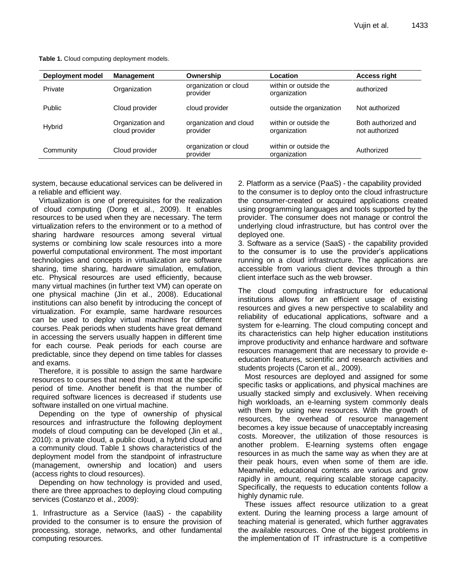| Deployment model | <b>Management</b>                                                 | Ownership                          | Location                              | <b>Access right</b>                   |  |
|------------------|-------------------------------------------------------------------|------------------------------------|---------------------------------------|---------------------------------------|--|
| Private          | organization or cloud<br>Organization<br>provider<br>organization |                                    | within or outside the                 | authorized                            |  |
| <b>Public</b>    | Cloud provider                                                    | cloud provider                     | outside the organization              | Not authorized                        |  |
| Hybrid           | Organization and<br>cloud provider                                | organization and cloud<br>provider | within or outside the<br>organization | Both authorized and<br>not authorized |  |
| Community        | Cloud provider                                                    | organization or cloud<br>provider  | within or outside the<br>organization | Authorized                            |  |

**Table 1.** Cloud computing deployment models.

system, because educational services can be delivered in a reliable and efficient way.

Virtualization is one of prerequisites for the realization of cloud computing (Dong et al., 2009). It enables resources to be used when they are necessary. The term virtualization refers to the environment or to a method of sharing hardware resources among several virtual systems or combining low scale resources into a more powerful computational environment. The most important technologies and concepts in virtualization are software sharing, time sharing, hardware simulation, emulation, etc. Physical resources are used efficiently, because many virtual machines (in further text VM) can operate on one physical machine (Jin et al., 2008). Educational institutions can also benefit by introducing the concept of virtualization. For example, same hardware resources can be used to deploy virtual machines for different courses. Peak periods when students have great demand in accessing the servers usually happen in different time for each course. Peak periods for each course are predictable, since they depend on time tables for classes and exams.

Therefore, it is possible to assign the same hardware resources to courses that need them most at the specific period of time. Another benefit is that the number of required software licences is decreased if students use software installed on one virtual machine.

Depending on the type of ownership of physical resources and infrastructure the following deployment models of cloud computing can be developed (Jin et al., 2010): a private cloud, a public cloud, a hybrid cloud and a community cloud. Table 1 shows characteristics of the deployment model from the standpoint of infrastructure (management, ownership and location) and users (access rights to cloud resources).

Depending on how technology is provided and used, there are three approaches to deploying cloud computing services (Costanzo et al., 2009):

1. Infrastructure as a Service (IaaS) - the capability provided to the consumer is to ensure the provision of processing, storage, networks, and other fundamental computing resources.

2. Platform as a service (PaaS) - the capability provided to the consumer is to deploy onto the cloud infrastructure the consumer-created or acquired applications created using programming languages and tools supported by the provider. The consumer does not manage or control the underlying cloud infrastructure, but has control over the deployed one.

3. Software as a service (SaaS) - the capability provided to the consumer is to use the provider's applications running on a cloud infrastructure. The applications are accessible from various client devices through a thin client interface such as the web browser.

The cloud computing infrastructure for educational institutions allows for an efficient usage of existing resources and gives a new perspective to scalability and reliability of educational applications, software and a system for e-learning. The cloud computing concept and its characteristics can help higher education institutions improve productivity and enhance hardware and software resources management that are necessary to provide eeducation features, scientific and research activities and students projects (Caron et al., 2009).

Most resources are deployed and assigned for some specific tasks or applications, and physical machines are usually stacked simply and exclusively. When receiving high workloads, an e-learning system commonly deals with them by using new resources. With the growth of resources, the overhead of resource management becomes a key issue because of unacceptably increasing costs. Moreover, the utilization of those resources is another problem. E-learning systems often engage resources in as much the same way as when they are at their peak hours, even when some of them are idle. Meanwhile, educational contents are various and grow rapidly in amount, requiring scalable storage capacity. Specifically, the requests to education contents follow a highly dynamic rule.

These issues affect resource utilization to a great extent. During the learning process a large amount of teaching material is generated, which further aggravates the available resources. One of the biggest problems in the implementation of IT infrastructure is a competitive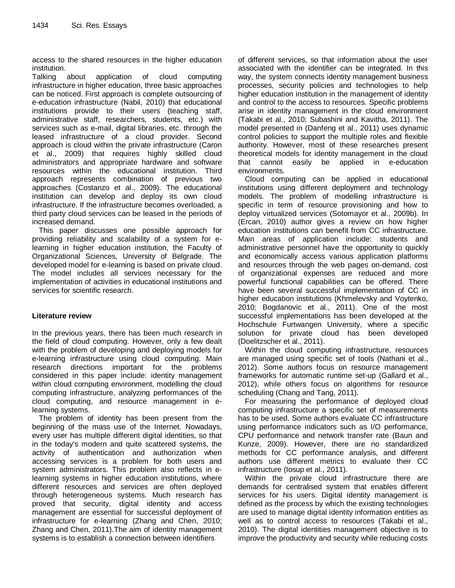access to the shared resources in the higher education institution.

Talking about application of cloud computing infrastructure in higher education, three basic approaches can be noticed. First approach is complete outsourcing of e-education infrastructure (Nabil, 2010) that educational institutions provide to their users (teaching staff, administrative staff, researchers, students, etc.) with services such as e-mail, digital libraries, etc. through the leased infrastructure of a cloud provider. Second approach is cloud within the private infrastructure (Caron et al., 2009) that requires highly skilled cloud administrators and appropriate hardware and software resources within the educational institution. Third approach represents combination of previous two approaches (Costanzo et al., 2009). The educational institution can develop and deploy its own cloud infrastructure. If the infrastructure becomes overloaded, a third party cloud services can be leased in the periods of increased demand.

This paper discusses one possible approach for providing reliability and scalability of a system for elearning in higher education institution, the Faculty of Organizational Sciences, University of Belgrade. The developed model for e-learning is based on private cloud. The model includes all services necessary for the implementation of activities in educational institutions and services for scientific research.

# **Literature review**

In the previous years, there has been much research in the field of cloud computing. However, only a few dealt with the problem of developing and deploying models for e-learning infrastructure using cloud computing. Main research directions important for the problems considered in this paper include: identity management within cloud computing environment, modelling the cloud computing infrastructure, analyzing performances of the cloud computing, and resource management in elearning systems.

The problem of identity has been present from the beginning of the mass use of the Internet. Nowadays, every user has multiple different digital identities, so that in the today's modern and quite scattered systems, the activity of authentication and authorization when accessing services is a problem for both users and system administrators. This problem also reflects in elearning systems in higher education institutions, where different resources and services are often deployed through heterogeneous systems. Much research has proved that security, digital identity and access management are essential for successful deployment of infrastructure for e-learning (Zhang and Chen, 2010; Zhang and Chen, 2011).The aim of identity management systems is to establish a connection between identifiers

of different services, so that information about the user associated with the identifier can be integrated. In this way, the system connects identity management business processes, security policies and technologies to help higher education institution in the management of identity and control to the access to resources. Specific problems arise in identity management in the cloud environment (Takabi et al., 2010; Subashini and Kavitha, 2011). The model presented in (Danfeng et al., 2011) uses dynamic control policies to support the multiple roles and flexible authority. However, most of these researches present theoretical models for identity management in the cloud that cannot easily be applied in e-education environments.

Cloud computing can be applied in educational institutions using different deployment and technology models. The problem of modelling infrastructure is specific in term of resource provisioning and how to deploy virtualized services (Sotomayor et al., 2009b). In (Ercan, 2010) author gives a review on how higher education institutions can benefit from CC infrastructure. Main areas of application include: students and administrative personnel have the opportunity to quickly and economically access various application platforms and resources through the web pages on-demand, cost of organizational expenses are reduced and more powerful functional capabilities can be offered. There have been several successful implementation of CC in higher education institutions (Khmelevsky and Voytenko, 2010; Bogdanovic et al., 2011). One of the most successful implementations has been developed at the Hochschule Furtwangen University, where a specific solution for private cloud has been developed (Doelitzscher et al., 2011).

Within the cloud computing infrastructure, resources are managed using specific set of tools (Nathani et al., 2012). Some authors focus on resource management frameworks for automatic runtime set-up (Gallard et al., 2012), while others focus on algorithms for resource scheduling (Chang and Tang, 2011).

For measuring the performance of deployed cloud computing infrastructure a specific set of measurements has to be used. Some authors evaluate CC infrastructure using performance indicators such as I/O performance, CPU performance and network transfer rate (Baun and Kunze, 2009). However, there are no standardized methods for CC performance analysis, and different authors use different metrics to evaluate their CC infrastructure (Iosup et al., 2011).

Within the private cloud infrastructure there are demands for centralised system that enables different services for his users. Digital identity management is defined as the process by which the existing technologies are used to manage digital identity information entities as well as to control access to resources (Takabi et al., 2010). The digital identities management objective is to improve the productivity and security while reducing costs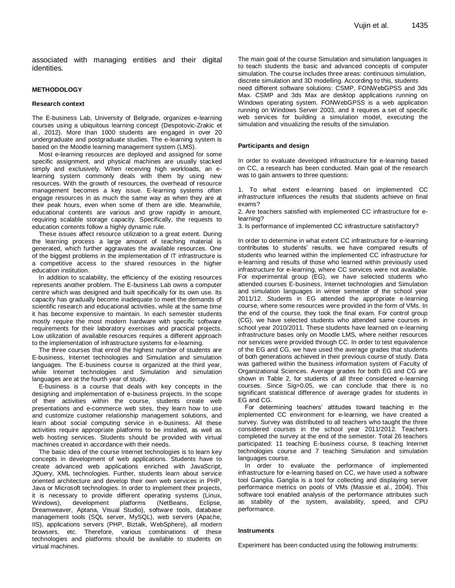associated with managing entities and their digital identities.

#### **METHODOLOGY**

#### **Research context**

The E-business Lab, University of Belgrade, organizes e-learning courses using a ubiquitous learning concept (Despotovic-Zrakic et al., 2012). More than 1000 students are engaged in over 20 undergraduate and postgraduate studies. The e-learning system is based on the Moodle learning management system (LMS).

Most e-learning resources are deployed and assigned for some specific assignment, and physical machines are usually stacked simply and exclusively. When receiving high workloads, an elearning system commonly deals with them by using new resources. With the growth of resources, the overhead of resource management becomes a key issue. E-learning systems often engage resources in as much the same way as when they are at their peak hours, even when some of them are idle. Meanwhile, educational contents are various and grow rapidly in amount, requiring scalable storage capacity. Specifically, the requests to education contents follow a highly dynamic rule.

These issues affect resource utilization to a great extent. During the learning process a large amount of teaching material is generated, which further aggravates the available resources. One of the biggest problems in the implementation of IT infrastructure is a competitive access to the shared resources in the higher education institution.

In addition to scalability, the efficiency of the existing resources represents another problem. The E-business Lab owns a computer centre which was designed and built specifically for its own use. Its capacity has gradually become inadequate to meet the demands of scientific research and educational activities, while at the same time it has become expensive to maintain. In each semester students mostly require the most modern hardware with specific software requirements for their laboratory exercises and practical projects. Low utilization of available resources requires a different approach to the implementation of infrastructure systems for e-learning.

The three courses that enroll the highest number of students are E-business, Internet technologies and Simulation and simulation languages. The E-business course is organized at the third year, while Internet technologies and Simulation and simulation languages are at the fourth year of study.

E-business is a course that deals with key concepts in the designing and implementation of e-business projects. In the scope of their activities within the course, students create web presentations and e-commerce web sites, they learn how to use and customize customer relationship management solutions, and learn about social computing service in e-business. All these activities require appropriate platforms to be installed, as well as web hosting services. Students should be provided with virtual machines created in accordance with their needs.

The basic idea of the course Internet technologies is to learn key concepts in development of web applications. Students have to create advanced web applications enriched with JavaScript, JQuery, XML technologies. Further, students learn about service oriented architecture and develop their own web services in PHP, Java or Microsoft technologies. In order to implement their projects, it is necessary to provide different operating systems (Linux, Windows), development platforms (NetBeans, Eclipse, Dreamweaver, Aptana, Visual Studio), software tools, database management tools (SQL server, MySQL), web servers (Apache, IIS), applications servers (PHP, Biztalk, WebSphere), all modern browsers, etc. Therefore, various combinations of these technologies and platforms should be available to students on virtual machines.

The main goal of the course Simulation and simulation languages is to teach students the basic and advanced concepts of computer simulation. The course includes three areas: continuous simulation, discrete simulation and 3D modelling. According to this, students need different software solutions: CSMP, FONWebGPSS and 3ds Max. CSMP and 3ds Max are desktop applications running on Windows operating system. FONWebGPSS is a web application running on Windows Server 2003, and it requires a set of specific web services for building a simulation model, executing the simulation and visualizing the results of the simulation.

#### **Participants and design**

In order to evaluate developed infrastructure for e-learning based on CC, a research has been conducted. Main goal of the research was to gain answers to three questions:

1. To what extent e-learning based on implemented CC infrastructure influences the results that students achieve on final exams?

2. Are teachers satisfied with implemented CC infrastructure for elearning?

3. Is performance of implemented CC infrastructure satisfactory?

In order to determine in what extent CC infrastructure for e-learning contributes to students' results, we have compared results of students who learned within the implemented CC infrastructure for e-learning and results of those who learned within previously used infrastructure for e-learning, where CC services were not available. For experimental group (EG), we have selected students who attended courses E-business, Internet technologies and Simulation and simulation languages in winter semester of the school year 2011/12. Students in EG attended the appropriate e-learning course, where some resources were provided in the form of VMs. In the end of the course, they took the final exam. For control group (CG), we have selected students who attended same courses in school year 2010/2011. These students have learned on e-learning infrastructure bases only on Moodle LMS, where neither resources nor services were provided through CC. In order to test equivalence of the EG and CG, we have used the average grades that students of both generations achieved in their previous course of study. Data was gathered within the business information system of Faculty of Organizational Sciences. Average grades for both EG and CG are shown in Table 2, for students of all three considered e-learning courses. Since Sig>0.05, we can conclude that there is no significant statistical difference of average grades for students in EG and CG.

For determining teachers' attitudes toward teaching in the implemented CC environment for e-learning, we have created a survey. Survey was distributed to all teachers who taught the three considered courses in the school year 2011/2012. Teachers completed the survey at the end of the semester. Total 26 teachers participated: 11 teaching E-business course, 8 teaching Internet technologies course and 7 teaching Simulation and simulation languages course.

In order to evaluate the performance of implemented infrastructure for e-learning based on CC, we have used a software tool Ganglia. Ganglia is a tool for collecting and displaying server performance metrics on pools of VMs (Massie et al., 2004). This software tool enabled analysis of the performance attributes such as stability of the system, availability, speed, and CPU performance.

#### **Instruments**

Experiment has been conducted using the following instruments: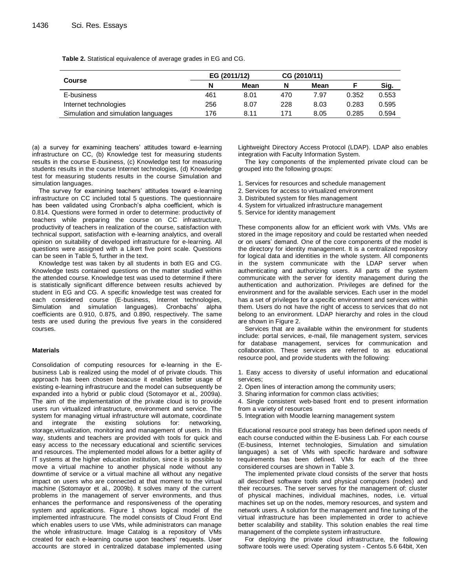**Table 2.** Statistical equivalence of average grades in EG and CG.

|                                     | EG (2011/12) |      | CG (2010/11) |      |       |       |
|-------------------------------------|--------------|------|--------------|------|-------|-------|
| <b>Course</b>                       |              | Mean | N            | Mean |       | Sig.  |
| E-business                          | 461          | 8.01 | 470          | 7.97 | 0.352 | 0.553 |
| Internet technologies               | 256          | 8.07 | 228          | 8.03 | 0.283 | 0.595 |
| Simulation and simulation languages | 176          | 8.11 | 171          | 8.05 | 0.285 | 0.594 |

(a) a survey for examining teachers' attitudes toward e-learning infrastructure on CC, (b) Knowledge test for measuring students results in the course E-business, (c) Knowledge test for measuring students results in the course Internet technologies, (d) Knowledge test for measuring students results in the course Simulation and simulation languages.

The survey for examining teachers' attitudes toward e-learning infrastructure on CC included total 5 questions. The questionnaire has been validated using Cronbach's alpha coefficient, which is 0.814. Questions were formed in order to determine: productivity of teachers while preparing the course on CC infrastructure, productivity of teachers in realization of the course, satisfaction with technical support, satisfaction with e-learning analytics, and overall opinion on suitability of developed infrastructure for e-learning. All questions were assigned with a Likert five point scale. Questions can be seen in Table 5, further in the text.

Knowledge test was taken by all students in both EG and CG. Knowledge tests contained questions on the matter studied within the attended course. Knowledge test was used to determine if there is statistically significant difference between results achieved by student in EG and CG. A specific knowledge test was created for each considered course (E-business, Internet technologies, Simulation and simulation languages). Cronbachs' alpha coefficients are 0.910, 0.875, and 0.890, respectively. The same tests are used during the previous five years in the considered courses.

#### **Materials**

Consolidation of computing resources for e-learning in the Ebusiness Lab is realized using the model of of private clouds. This approach has been chosen beacuse it enables better usage of existing e-learning infrastrucure and the model can subsequently be expanded into a hybrid or public cloud (Sotomayor et al., 2009a). The aim of the implementation of the private cloud is to provide users run virtualized infrastructure, environment and service. The system for managing virtual infrastructure will automate, coordinate and integrate the existing solutions for: networking, storage,virtualization, monitoring and management of users. In this way, students and teachers are provided with tools for quick and easy access to the necessary educational and scientific services and resources. The implemented model allows for a better agility of IT systems at the higher education institution, since it is possible to move a virtual machine to another physical node without any downtime of service or a virtual machine all without any negative impact on users who are connected at that moment to the virtual machine (Sotomayor et al., 2009b). It solves many of the current problems in the management of server environments, and thus enhances the performance and responsiveness of the operating system and applications. Figure 1 shows logical model of the implemented infrastrucure. The model consists of Cloud Front End which enables users to use VMs, while administrators can manage the whole infrastructure. Image Catalog is a repository of VMs created for each e-learning course upon teachers' requests. User accounts are stored in centralized database implemented using Lightweight Directory Access Protocol (LDAP). LDAP also enables integration with Faculty Information System.

The key components of the implemented private cloud can be grouped into the following groups:

- 1. Services for resources and schedule management
- 2. Services for access to virtualized environment
- 3. Distributed system for files management
- 4. System for virtualized infrastructure management
- 5. Service for identity management

These components allow for an efficient work with VMs. VMs are stored in the image repository and could be restarted when needed or on users' demand. One of the core components of the model is the directory for identity management. It is a centralized repository for logical data and identities in the whole system. All components in the system communicate with the LDAP server when authenticating and authorizing users. All parts of the system communicate with the server for identity management during the authentication and authorization. Privileges are defined for the environment and for the available services. Each user in the model has a set of privileges for a specific environment and services within them. Users do not have the right of access to services that do not belong to an environment. LDAP hierarchy and roles in the cloud are shown in Figure 2.

Services that are available within the environment for students include: portal services, e-mail, file management system, services for database management, services for communication and collaboration. These services are referred to as educational resource pool, and provide students with the following:

1. Easy access to diversity of useful information and educational services;

- 2. Open lines of interaction among the community users;
- 3. Sharing information for common class activities;

4. Single consistent web-based front end to present information from a variety of resources

5. Integration with Moodle learning management system

Educational resource pool strategy has been defined upon needs of each course conducted within the E-business Lab. For each course (E-business, Internet technologies, Simulation and simulation languages) a set of VMs with specific hardware and software requirements has been defined. VMs for each of the three considered courses are shown in Table 3.

The implemented private cloud consists of the server that hosts all described software tools and physical computers (nodes) and their recourses. The server serves for the management of: cluster of physical machines, individual machines, nodes, i.e. virtual machines set up on the nodes, memory resources, and system and network users. A solution for the management and fine tuning of the virtual infrastructure has been implemented in order to achieve better scalability and stability. This solution enables the real time management of the complete system infrastructure.

For deploying the private cloud infrastructure, the following software tools were used: Operating system - Centos 5.6 64bit, Xen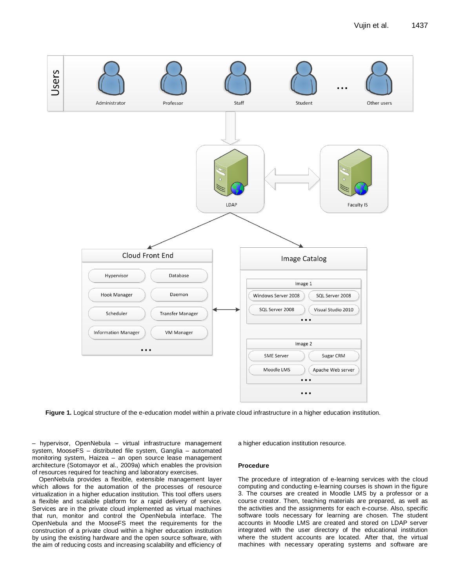

**Figure 1.** Logical structure of the e-education model within a private cloud infrastructure in a higher education institution.

– hypervisor, OpenNebula – virtual infrastructure management system, MooseFS – distributed file system, Ganglia – automated monitoring system, Haizea – an open source lease management architecture (Sotomayor et al., 2009a) which enables the provision of resources required for teaching and laboratory exercises.

OpenNebula provides a flexible, extensible management layer which allows for the automation of the processes of resource virtualization in a higher education institution. This tool offers users a flexible and scalable platform for a rapid delivery of service. Services are in the private cloud implemented as virtual machines that run, monitor and control the OpenNebula interface. The OpenNebula and the MooseFS meet the requirements for the construction of a private cloud within a higher education institution by using the existing hardware and the open source software, with the aim of reducing costs and increasing scalability and efficiency of a higher education institution resource.

#### **Procedure**

The procedure of integration of e-learning services with the cloud computing and conducting e-learning courses is shown in the figure 3. The courses are created in Moodle LMS by a professor or a course creator. Then, teaching materials are prepared, as well as the activities and the assignments for each e-course. Also, specific software tools necessary for learning are chosen. The student accounts in Moodle LMS are created and stored on LDAP server integrated with the user directory of the educational institution where the student accounts are located. After that, the virtual machines with necessary operating systems and software are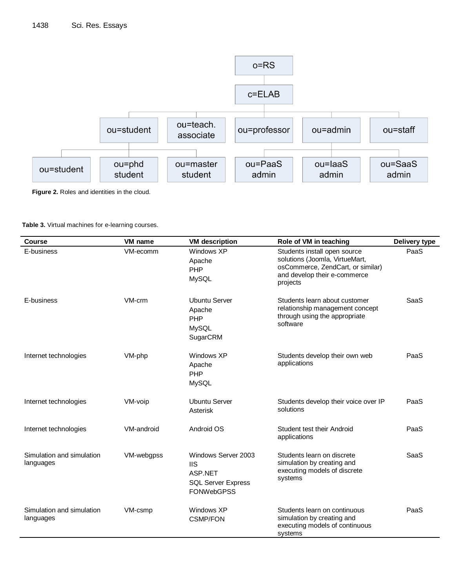

**Figure 2.** Roles and identities in the cloud.

| Course                                 | VM name    | <b>VM</b> description                                                                          | Role of VM in teaching                                                                                                                          | Delivery type |
|----------------------------------------|------------|------------------------------------------------------------------------------------------------|-------------------------------------------------------------------------------------------------------------------------------------------------|---------------|
| E-business                             | VM-ecomm   | Windows XP<br>Apache<br>PHP<br><b>MySQL</b>                                                    | Students install open source<br>solutions (Joomla, VirtueMart,<br>osCommerce, ZendCart, or similar)<br>and develop their e-commerce<br>projects | PaaS          |
| E-business                             | VM-crm     | <b>Ubuntu Server</b><br>Apache<br>PHP<br><b>MySQL</b><br>SugarCRM                              | Students learn about customer<br>relationship management concept<br>through using the appropriate<br>software                                   | SaaS          |
| Internet technologies                  | VM-php     | Windows XP<br>Apache<br>PHP<br><b>MySQL</b>                                                    | Students develop their own web<br>applications                                                                                                  | PaaS          |
| Internet technologies                  | VM-voip    | <b>Ubuntu Server</b><br>Asterisk                                                               | Students develop their voice over IP<br>solutions                                                                                               | PaaS          |
| Internet technologies                  | VM-android | Android OS                                                                                     | Student test their Android<br>applications                                                                                                      | PaaS          |
| Simulation and simulation<br>languages | VM-webgpss | Windows Server 2003<br><b>IIS</b><br>ASP.NET<br><b>SQL Server Express</b><br><b>FONWebGPSS</b> | Students learn on discrete<br>simulation by creating and<br>executing models of discrete<br>systems                                             | SaaS          |
| Simulation and simulation<br>languages | VM-csmp    | Windows XP<br><b>CSMP/FON</b>                                                                  | Students learn on continuous<br>simulation by creating and<br>executing models of continuous<br>systems                                         | PaaS          |

**Table 3.** Virtual machines for e-learning courses.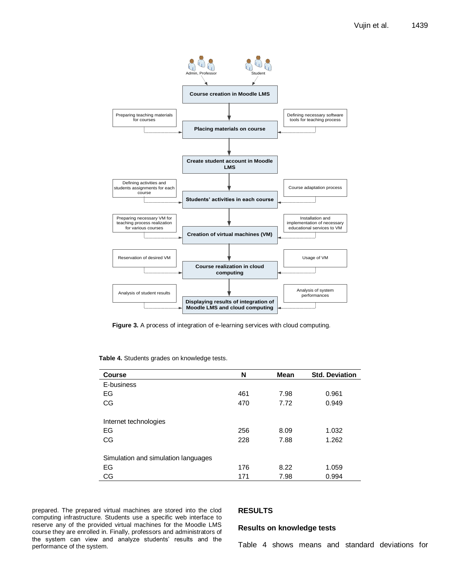

**Figure 3.** A process of integration of e-learning services with cloud computing.

| <b>Course</b>                       | N   | Mean | <b>Std. Deviation</b> |
|-------------------------------------|-----|------|-----------------------|
| E-business                          |     |      |                       |
| EG                                  | 461 | 7.98 | 0.961                 |
| <b>CG</b>                           | 470 | 7.72 | 0.949                 |
|                                     |     |      |                       |
| Internet technologies               |     |      |                       |
| EG                                  | 256 | 8.09 | 1.032                 |
| <b>CG</b>                           | 228 | 7.88 | 1.262                 |
|                                     |     |      |                       |
| Simulation and simulation languages |     |      |                       |
| EG                                  | 176 | 8.22 | 1.059                 |
| CG                                  | 171 | 7.98 | 0.994                 |

**Table 4.** Students grades on knowledge tests.

prepared. The prepared virtual machines are stored into the clod computing infrastructure. Students use a specific web interface to reserve any of the provided virtual machines for the Moodle LMS course they are enrolled in. Finally, professors and administrators of the system can view and analyze students' results and the performance of the system.

### **RESULTS**

#### **Results on knowledge tests**

Table 4 shows means and standard deviations for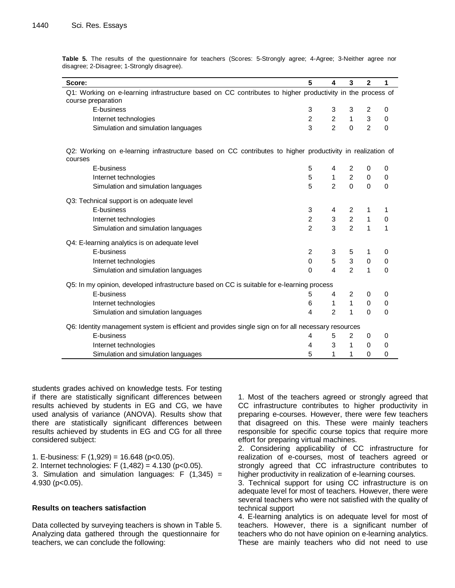| Score:                                                                                                                          | 5              | 4              | 3              | $\mathbf{2}$   | 1        |
|---------------------------------------------------------------------------------------------------------------------------------|----------------|----------------|----------------|----------------|----------|
| Q1: Working on e-learning infrastructure based on CC contributes to higher productivity in the process of<br>course preparation |                |                |                |                |          |
| E-business                                                                                                                      | 3              | 3              | 3              | 2              | 0        |
| Internet technologies                                                                                                           | $\overline{2}$ | $\overline{c}$ | 1              | 3              | $\Omega$ |
| Simulation and simulation languages                                                                                             | 3              | $\overline{2}$ | $\Omega$       | $\overline{2}$ | $\Omega$ |
| Q2: Working on e-learning infrastructure based on CC contributes to higher productivity in realization of<br>courses            |                |                |                |                |          |
| E-business                                                                                                                      | 5              | 4              | 2              | 0              | 0        |
| Internet technologies                                                                                                           | 5              | 1              | 2              | $\mathbf 0$    | 0        |
| Simulation and simulation languages                                                                                             | 5              | $\overline{2}$ | $\Omega$       | $\Omega$       | $\Omega$ |
| Q3: Technical support is on adequate level                                                                                      |                |                |                |                |          |
| E-business                                                                                                                      | 3              | 4              | 2              | 1              | 1        |
| Internet technologies                                                                                                           | $\overline{2}$ | 3              | $\overline{2}$ | 1              | 0        |
| Simulation and simulation languages                                                                                             | $\overline{2}$ | 3              | $\overline{2}$ | 1              | 1        |
| Q4: E-learning analytics is on adequate level                                                                                   |                |                |                |                |          |
| E-business                                                                                                                      | $\overline{2}$ | 3              | 5              | 1              | 0        |
| Internet technologies                                                                                                           | 0              | 5              | 3              | $\mathbf 0$    | 0        |
| Simulation and simulation languages                                                                                             | 0              | $\overline{4}$ | $\mathcal{P}$  | 1              | $\Omega$ |
| Q5: In my opinion, developed infrastructure based on CC is suitable for e-learning process                                      |                |                |                |                |          |
| E-business                                                                                                                      | 5              | 4              | $\overline{2}$ | 0              | 0        |
| Internet technologies                                                                                                           | 6              | 1              | 1              | $\mathbf 0$    | 0        |
| Simulation and simulation languages                                                                                             | 4              | $\overline{2}$ | 1              | $\Omega$       | $\Omega$ |
| Q6: Identity management system is efficient and provides single sign on for all necessary resources                             |                |                |                |                |          |
| E-business                                                                                                                      | 4              | 5              | $\overline{2}$ | 0              | 0        |
| Internet technologies                                                                                                           | 4              | 3              | 1              | $\mathbf 0$    | 0        |
| Simulation and simulation languages                                                                                             | 5              | 1              | 1              | 0              | 0        |

**Table 5.** The results of the questionnaire for teachers (Scores: 5-Strongly agree; 4-Agree; 3-Neither agree nor disagree; 2-Disagree; 1-Strongly disagree).

students grades achived on knowledge tests. For testing if there are statistically significant differences between results achieved by students in EG and CG, we have used analysis of variance (ANOVA). Results show that there are statistically significant differences between results achieved by students in EG and CG for all three considered subject:

1. E-business: F  $(1,929) = 16.648$  (p<0.05).

2. Internet technologies: F (1,482) = 4.130 (p<0.05).

3. Simulation and simulation languages:  $F(1,345) =$ 4.930 (p<0.05).

# **Results on teachers satisfaction**

Data collected by surveying teachers is shown in Table 5. Analyzing data gathered through the questionnaire for teachers, we can conclude the following:

1. Most of the teachers agreed or strongly agreed that CC infrastructure contributes to higher productivity in preparing e-courses. However, there were few teachers that disagreed on this. These were mainly teachers responsible for specific course topics that require more effort for preparing virtual machines.

2. Considering applicability of CC infrastructure for realization of e-courses, most of teachers agreed or strongly agreed that CC infrastructure contributes to higher productivity in realization of e-learning courses.

3. Technical support for using CC infrastructure is on adequate level for most of teachers. However, there were several teachers who were not satisfied with the quality of technical support

4. E-learning analytics is on adequate level for most of teachers. However, there is a significant number of teachers who do not have opinion on e-learning analytics. These are mainly teachers who did not need to use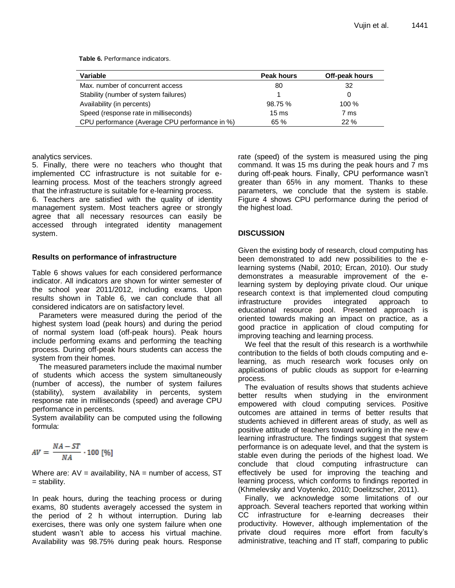**Table 6.** Performance indicators.

| Variable                                       | Peak hours      | Off-peak hours |  |
|------------------------------------------------|-----------------|----------------|--|
| Max, number of concurrent access               | 80              | 32             |  |
| Stability (number of system failures)          |                 |                |  |
| Availability (in percents)                     | 98.75 %         | $100\%$        |  |
| Speed (response rate in milliseconds)          | $15 \text{ ms}$ | 7 ms           |  |
| CPU performance (Average CPU performance in %) | 65 %            | 22%            |  |

analytics services.

5. Finally, there were no teachers who thought that implemented CC infrastructure is not suitable for elearning process. Most of the teachers strongly agreed that the infrastructure is suitable for e-learning process.

6. Teachers are satisfied with the quality of identity management system. Most teachers agree or strongly agree that all necessary resources can easily be accessed through integrated identity management system.

## **Results on performance of infrastructure**

Table 6 shows values for each considered performance indicator. All indicators are shown for winter semester of the school year 2011/2012, including exams. Upon results shown in Table 6, we can conclude that all considered indicators are on satisfactory level.

Parameters were measured during the period of the highest system load (peak hours) and during the period of normal system load (off-peak hours). Peak hours include performing exams and performing the teaching process. During off-peak hours students can access the system from their homes.

The measured parameters include the maximal number of students which access the system simultaneously (number of access), the number of system failures (stability), system availability in percents, system response rate in milliseconds (speed) and average CPU performance in percents.

System availability can be computed using the following formula:

$$
AV = \frac{NA - ST}{NA} \cdot 100 \, [\%]
$$

Where are:  $AV = availability$ ,  $NA = number of access$ ,  $ST$ = stability.

In peak hours, during the teaching process or during exams, 80 students averagely accessed the system in the period of 2 h without interruption. During lab exercises, there was only one system failure when one student wasn't able to access his virtual machine. Availability was 98.75% during peak hours. Response rate (speed) of the system is measured using the ping command. It was 15 ms during the peak hours and 7 ms during off-peak hours. Finally, CPU performance wasn't greater than 65% in any moment. Thanks to these parameters, we conclude that the system is stable. Figure 4 shows CPU performance during the period of the highest load.

# **DISCUSSION**

Given the existing body of research, cloud computing has been demonstrated to add new possibilities to the elearning systems (Nabil, 2010; Ercan, 2010). Our study demonstrates a measurable improvement of the elearning system by deploying private cloud. Our unique research context is that implemented cloud computing infrastructure provides integrated approach to educational resource pool. Presented approach is oriented towards making an impact on practice, as a good practice in application of cloud computing for improving teaching and learning process.

We feel that the result of this research is a worthwhile contribution to the fields of both clouds computing and elearning, as much research work focuses only on applications of public clouds as support for e-learning process.

The evaluation of results shows that students achieve better results when studying in the environment empowered with cloud computing services. Positive outcomes are attained in terms of better results that students achieved in different areas of study, as well as positive attitude of teachers toward working in the new elearning infrastructure. The findings suggest that system performance is on adequate level, and that the system is stable even during the periods of the highest load. We conclude that cloud computing infrastructure can effectively be used for improving the teaching and learning process, which conforms to findings reported in (Khmelevsky and Voytenko, 2010; Doelitzscher, 2011).

Finally, we acknowledge some limitations of our approach. Several teachers reported that working within CC infrastructure for e-learning decreases their productivity. However, although implementation of the private cloud requires more effort from faculty's administrative, teaching and IT staff, comparing to public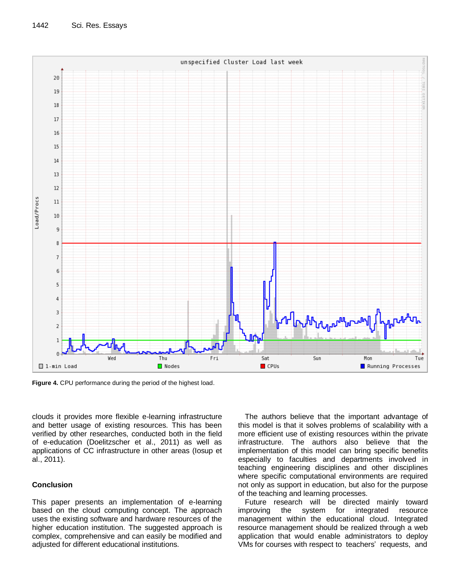

**Figure 4.** CPU performance during the period of the highest load.

clouds it provides more flexible e-learning infrastructure and better usage of existing resources. This has been verified by other researches, conducted both in the field of e-education (Doelitzscher et al., 2011) as well as applications of CC infrastructure in other areas (Iosup et al., 2011).

# **Conclusion**

This paper presents an implementation of e-learning based on the cloud computing concept. The approach uses the existing software and hardware resources of the higher education institution. The suggested approach is complex, comprehensive and can easily be modified and adjusted for different educational institutions.

The authors believe that the important advantage of this model is that it solves problems of scalability with a more efficient use of existing resources within the private infrastructure. The authors also believe that the implementation of this model can bring specific benefits especially to faculties and departments involved in teaching engineering disciplines and other disciplines where specific computational environments are required not only as support in education, but also for the purpose of the teaching and learning processes.

Future research will be directed mainly toward improving the system for integrated resource management within the educational cloud. Integrated resource management should be realized through a web application that would enable administrators to deploy VMs for courses with respect to teachers' requests, and